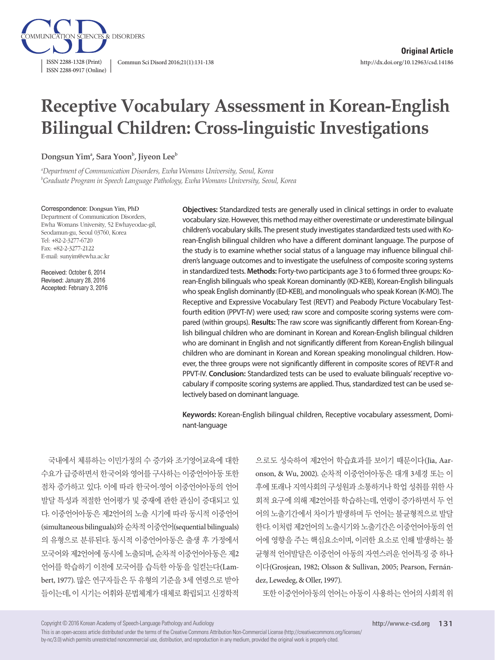

# **Receptive Vocabulary Assessment in Korean-English Bilingual Children: Cross-linguistic Investigations**

 $\mathbf{Dongsun}\ \mathbf{Yim^a}$ , Sara Yoon<sup>b</sup>, Jiyeon Lee<sup>b</sup>

*a Department of Communication Disorders, Ewha Womans University, Seoul, Korea b Graduate Program in Speech Language Pathology, Ewha Womans University, Seoul, Korea*

Correspondence: Dongsun Yim, PhD Department of Communication Disorders, Ewha Womans University, 52 Ewhayeodae-gil, Seodamun-gu, Seoul 03760, Korea Tel: +82-2-3277-6720 Fax: +82-2-3277-2122 E-mail: sunyim@ewha.ac.kr

Received: October 6, 2014 Revised: January 28, 2016 Accepted: February 3, 2016

**Objectives:** Standardized tests are generally used in clinical settings in order to evaluate vocabulary size. However, this method may either overestimate or underestimate bilingual children's vocabulary skills. The present study investigates standardized tests used with Korean-English bilingual children who have a different dominant language. The purpose of the study is to examine whether social status of a language may influence bilingual children's language outcomes and to investigate the usefulness of composite scoring systems in standardized tests. **Methods:** Forty-two participants age 3 to 6 formed three groups: Korean-English bilinguals who speak Korean dominantly (KD-KEB), Korean-English bilinguals who speak English dominantly (ED-KEB), and monolinguals who speak Korean (K-MO). The Receptive and Expressive Vocabulary Test (REVT) and Peabody Picture Vocabulary Testfourth edition (PPVT-IV) were used; raw score and composite scoring systems were compared (within groups). **Results:** The raw score was significantly different from Korean-English bilingual children who are dominant in Korean and Korean-English bilingual children who are dominant in English and not significantly different from Korean-English bilingual children who are dominant in Korean and Korean speaking monolingual children. However, the three groups were not significantly different in composite scores of REVT-R and PPVT-IV. **Conclusion:** Standardized tests can be used to evaluate bilinguals' receptive vocabulary if composite scoring systems are applied. Thus, standardized test can be used selectively based on dominant language.

**Keywords:** Korean-English bilingual children, Receptive vocabulary assessment, Dominant-language

국내에서 체류하는 이민가정의 수 증가와 조기영어교육에 대한 수요가 급증하면서 한국어와 영어를 구사하는 이중언어아동 또한 점차 증가하고 있다. 이에 따라 한국어-영어 이중언어아동의 언어 발달 특성과 적절한 언어평가 및 중재에 관한 관심이 증대되고 있 다. 이중언어아동은 제2언어의 노출 시기에 따라 동시적 이중언어 (simultaneous bilinguals)와순차적이중언어(sequential bilinguals) 의 유형으로 분류된다. 동시적 이중언어아동은 출생 후 가정에서 모국어와 제2언어에 동시에 노출되며, 순차적 이중언어아동은 제2 언어를 학습하기 이전에 모국어를 습득한 아동을 일컫는다(Lambert, 1977). 많은 연구자들은 두 유형의 기준을 3세 연령으로 받아 들이는데, 이 시기는 어휘와 문법체계가 대체로 확립되고 신경학적

으로도 성숙하여 제2언어 학습효과를 보이기 때문이다(Jia, Aaronson, & Wu, 2002). 순차적 이중언어아동은 대개 3세경 또는 이 후에 또래나 지역사회의 구성원과 소통하거나 학업 성취를 위한 사 회적 요구에 의해 제2언어를 학습하는데, 연령이 증가하면서 두 언 어의 노출기간에서 차이가 발생하며 두 언어는 불균형적으로 발달 한다. 이처럼 제2언어의 노출시기와 노출기간은 이중언어아동의 언 어에 영향을 주는 핵심요소이며, 이러한 요소로 인해 발생하는 불 균형적 언어발달은 이중언어 아동의 자연스러운 언어특징 중 하나 이다(Grosjean, 1982; Olsson & Sullivan, 2005; Pearson, Fernández, Lewedeg, & Oller, 1997).

또한 이중언어아동의 언어는 아동이 사용하는 언어의 사회적 위

Copyright © 2016 Korean Academy of Speech-Language Pathology and Audiology

This is an open-access article distributed under the terms of the Creative Commons Attribution Non-Commercial License (http://creativecommons.org/licenses/ by-nc/3.0) which permits unrestricted noncommercial use, distribution, and reproduction in any medium, provided the original work is properly cited.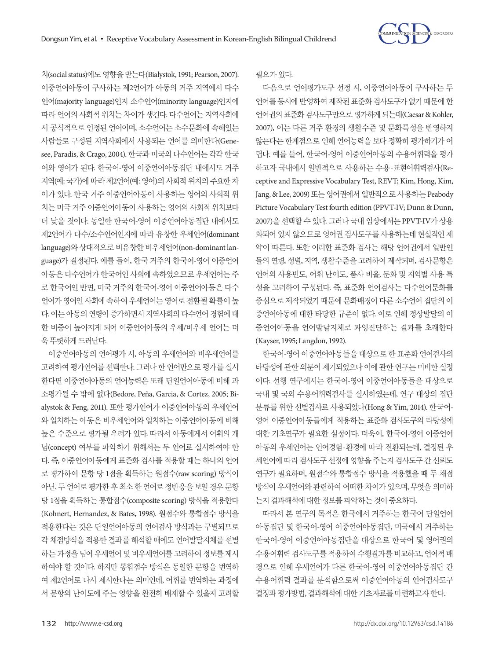

치(social status)에도영향을받는다(Bialystok, 1991; Pearson, 2007). 이중언어아동이 구사하는 제2언어가 아동의 거주 지역에서 다수 언어(majority language)인지 소수언어(minority language)인지에 따라 언어의 사회적 위치는 차이가 생긴다. 다수언어는 지역사회에 서 공식적으로 인정된 언어이며, 소수언어는 소수문화에 속해있는 사람들로 구성된 지역사회에서 사용되는 언어를 의미한다(Genesee, Paradis, & Crago, 2004). 한국과 미국의 다수언어는 각각 한국 어와 영어가 된다. 한국어-영어 이중언어아동집단 내에서도 거주 지역(예: 국가)에 따라 제2언어(예: 영어)의 사회적 위치의 주요한 차 이가 있다. 한국 거주 이중언어아동이 사용하는 영어의 사회적 위 치는 미국 거주 이중언어아동이 사용하는 영어의 사회적 위치보다 더 낮을 것이다. 동일한 한국어-영어 이중언어아동집단 내에서도 제2언어가 다수/소수언어인지에 따라 유창한 우세언어(dominant language)와 상대적으로 비유창한 비우세언어(non-dominant language)가 결정된다. 예를 들어, 한국 거주의 한국어-영어 이중언어 아동은 다수언어가 한국어인 사회에 속하였으므로 우세언어는 주 로 한국어인 반면, 미국 거주의 한국어-영어 이중언어아동은 다수 언어가 영어인 사회에 속하여 우세언어는 영어로 전환될 확률이 높 다. 이는 아동의 연령이 증가하면서 지역사회의 다수언어 경험에 대 한 비중이 높아지게 되어 이중언어아동의 우세/비우세 언어는 더 욱뚜렷하게드러난다.

이중언어아동의 언어평가 시, 아동의 우세언어와 비우세언어를 고려하여 평가언어를 선택한다. 그러나 한 언어만으로 평가를 실시 한다면 이중언어아동의 언어능력은 또래 단일언어아동에 비해 과 소평가될 수 밖에 없다(Bedore, Peña, Garcia, & Cortez, 2005; Bialystok & Feng, 2011). 또한 평가언어가 이중언어아동의 우세언어 와 일치하는 아동은 비우세언어와 일치하는 이중언어아동에 비해 높은 수준으로 평가될 우려가 있다. 따라서 아동에게서 어휘의 개 념(concept) 여부를 파악하기 위해서는 두 언어로 실시하여야 한 다. 즉, 이중언어아동에게 표준화 검사를 적용할 때는 하나의 언어 로 평가하여 문항 당 1점을 획득하는 원점수(raw scoring) 방식이 아닌, 두 언어로 평가한 후 최소 한 언어로 정반응을 보일 경우 문항 당 1점을 획득하는 통합점수(composite scoring) 방식을 적용한다 (Kohnert, Hernandez, & Bates, 1998). 원점수와 통합점수 방식을 적용한다는 것은 단일언어아동의 언어검사 방식과는 구별되므로 각 채점방식을 적용한 결과를 해석할 때에도 언어발달지체를 선별 하는 과정을 넘어 우세언어 및 비우세언어를 고려하여 정보를 제시 하여야 할 것이다. 하지만 통합점수 방식은 동일한 문항을 번역하 여 제2언어로 다시 제시한다는 의미인데, 어휘를 번역하는 과정에 서 문항의 난이도에 주는 영향을 완전히 배제할 수 있을지 고려할 필요가있다.

다음으로 언어평가도구 선정 시, 이중언어아동이 구사하는 두 언어를 동시에 반영하여 제작된 표준화 검사도구가 없기 때문에 한 언어권의 표주화 검사도구만으로 평가하게 되는데(Caesar & Kohler, 2007), 이는 다른 거주 환경의 생활수준 및 문화특성을 반영하지 않는다는 한계점으로 인해 언어능력을 보다 정확히 평가하기가 어 렵다. 예를 들어, 한국어-영어 이중언어아동의 수용어휘력을 평가 하고자 국내에서 일반적으로 사용하는 수용·표현어휘력검사(Receptive and Expressive Vocabulary Test, REVT; Kim, Hong, Kim, Jang, & Lee, 2009) 또는 영어권에서 일반적으로 사용하는 Peabody Picture Vocabulary Test fourth edition (PPVT-IV; Dunn & Dunn, 2007)을 선택할 수 있다. 그러나 국내 임상에서는 PPVT-IV가 상용 화되어 있지 않으므로 영어권 검사도구를 사용하는데 현실적인 제 약이 따른다. 또한 이러한 표준화 검사는 해당 언어권에서 일반인 들의 연령, 성별, 지역, 생활수준을 고려하여 제작되며, 검사문항은 언어의 사용빈도, 어휘 난이도, 품사 비율, 문화 및 지역별 사용 특 성을 고려하여 구성된다. 즉, 표준화 언어검사는 다수언어문화를 중심으로 제작되었기 때문에 문화배경이 다른 소수언어 집단의 이 중언어아동에 대한 타당한 규준이 없다. 이로 인해 정상발달의 이 중언어아동을 언어발달지체로 과잉진단하는 결과를 초래한다 (Kayser, 1995; Langdon, 1992).

한국어-영어 이중언어아동들을 대상으로 한 표준화 언어검사의 타당성에 관한 의문이 제기되었으나 이에 관한 연구는 미비한 실정 이다. 선행 연구에서는 한국어-영어 이중언어아동들을 대상으로 국내 및 국외 수용어휘력검사를 실시하였는데, 연구 대상의 집단 분류를 위한 선별검사로 사용되었다(Hong & Yim, 2014). 한국어-영어 이중언어아동들에게 적용하는 표준화 검사도구의 타당성에 대한 기초연구가 필요한 실정이다. 더욱이, 한국어-영어 이중언어 아동의 우세언어는 언어경험·환경에 따라 전환되는데, 결정된 우 세언어에 따라 검사도구 선정에 영향을 주는지 검사도구 간 신뢰도 연구가 필요하며, 원점수와 통합점수 방식을 적용했을 때 두 채점 방식이 우세언어와 관련하여 어떠한 차이가 있으며, 무엇을 의미하 는지결과해석에대한정보를파악하는것이중요하다.

따라서 본 연구의 목적은 한국에서 거주하는 한국어 단일언어 아동집단 및 한국어-영어 이중언어아동집단, 미국에서 거주하는 한국어-영어 이중언어아동집단을 대상으로 한국어 및 영어권의 수용어휘력 검사도구를 적용하여 수행결과를 비교하고, 언어적 배 경으로 인해 우세언어가 다른 한국어-영어 이중언어아동집단 간 수용어휘력 결과를 분석함으로써 이중언어아동의 언어검사도구 결정과 평가방법, 결과해석에 대한 기초자료를 마련하고자 한다.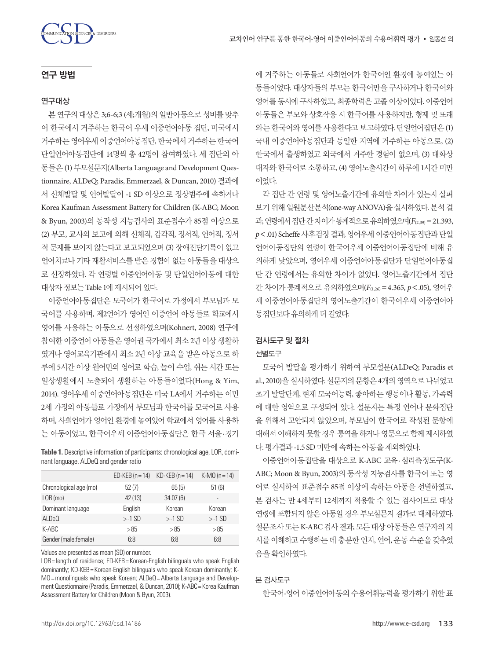

## 연구 방법

### 연구대상

본 연구의 대상은 3;6-6;3 (세;개월)의 일반아동으로 성비를 맞추 어 한국에서 거주하는 한국어 우세 이중언어아동 집단, 미국에서 거주하는 영어우세 이중언어아동집단, 한국에서 거주하는 한국어 단일언어아동집단에 14명씩 총 42명이 참여하였다. 세 집단의 아 동들은 (1) 부모설문지(Alberta Language and Development Questionnaire, ALDeQ; Paradis, Emmerzael, & Duncan, 2010) 결과에 서 신체발달 및 언어발달이 -1 SD 이상으로 정상범주에 속하거나 Korea Kaufman Assessment Battery for Children (K-ABC; Moon & Byun, 2003)의 동작성 지능검사의 표준점수가 85점 이상으로 (2) 부모, 교사의 보고에 의해 신체적, 감각적, 정서적, 언어적, 정서 적 문제를 보이지 않는다고 보고되었으며 (3) 장애진단기록이 없고 언어치료나 기타 재활서비스를 받은 경험이 없는 아동들을 대상으 로 선정하였다. 각 연령별 이중언어아동 및 단일언어아동에 대한 대상자 정보는 Table 1에 제시되어 있다.

이중언어아동집단은 모국어가 한국어로 가정에서 부모님과 모 국어를 사용하며, 제2언어가 영어인 이중언어 아동들로 학교에서 영어를 사용하는 아동으로 선정하였으며(Kohnert, 2008) 연구에 참여한 이중언어 아동들은 영어권 국가에서 최소 2년 이상 생활하 였거나 영어교육기관에서 최소 2년 이상 교육을 받은 아동으로 하 루에 5시간 이상 원어민의 영어로 학습, 놀이 수업, 쉬는 시간 또는 일상생활에서 노출되어 생활하는 아동들이었다(Hong & Yim, 2014). 영어우세 이중언어아동집단은 미국 LA에서 거주하는 이민 2세 가정의 아동들로 가정에서 부모님과 한국어를 모국어로 사용 하며, 사회언어가 영어인 환경에 놓여있어 학교에서 영어를 사용하 는 아동이었고, 한국어우세 이중언어아동집단은 한국 서울·경기

**Table 1.** Descriptive information of participants: chronological age, LOR, dominant language, ALDeQ and gender ratio

|                        | $ED$ -KEB (n = 14) | $KD$ -KEB (n = 14) | K-MO $(n = 14)$          |
|------------------------|--------------------|--------------------|--------------------------|
| Chronological age (mo) | 52(7)              | 65(5)              | 51(6)                    |
| $LOR$ (mo)             | 42 (13)            | 34.07(6)           | $\overline{\phantom{a}}$ |
| Dominant language      | English            | Korean             | Korean                   |
| ALDeO                  | $> -1$ SD          | $> -1$ SD          | $> -1$ SD                |
| K-ABC                  | > 85               | >85                | > 85                     |
| Gender (male: female)  | 6.8                | 6.8                | 6.8                      |

Values are presented as mean (SD) or number.

LOR= length of residence; ED-KEB= Korean-English bilinguals who speak English dominantly; KD-KEB = Korean-English bilinguals who speak Korean dominantly; K-MO= monolinguals who speak Korean; ALDeQ= Alberta Language and Development Questionnaire (Paradis, Emmerzael, & Duncan, 2010); K-ABC= Korea Kaufman Assessment Battery for Children (Moon & Byun, 2003).

에 거주하는 아동들로 사회언어가 한국어인 환경에 놓여있는 아 동들이었다. 대상자들의 부모는 한국어만을 구사하거나 한국어와 영어를 동시에 구사하였고, 최종학력은 고졸 이상이었다. 이중언어 아동들은 부모와 상호작용 시 한국어를 사용하지만, 형제 및 또래 와는 한국어와 영어를 사용한다고 보고하였다. 단일언어집단은 (1) 국내 이중언어아동집단과 동일한 지역에 거주하는 아동으로, (2) 한국에서 출생하였고 외국에서 거주한 경험이 없으며, (3) 대화상 대자와 한국어로 소통하고, (4) 영어노출시간이 하루에 1시간 미만 이었다.

각 집단 간 연령 및 영어노출기간에 유의한 차이가 있는지 살펴 보기위해일원분산분석(one-way ANOVA)을실시하였다. 분석결 과, 연령에서 집단 간 차이가 통계적으로 유의하였으며(F<sub>(2,39)</sub> = 21,393, *p*<.01) Scheffe 사후검정결과, 영어우세이중언어아동집단과단일 언어아동집단의 연령이 한국어우세 이중언어아동집단에 비해 유 의하게 낮았으며, 영어우세 이중언어아동집단과 단일언어아동집 단 간 연령에서는 유의한 차이가 없었다. 영어노출기간에서 집단 간 차이가 통계적으로 유의하였으며(*F*(1,26)=4.365, *p*<.05), 영어우 세 이중언어아동집단의 영어노출기간이 한국어우세 이중언어아 동집단보다유의하게더길었다.

### 검사도구 및 절차

#### 선별도구

모국어 발달을 평가하기 위하여 부모설문(ALDeQ; Paradis et al., 2010)을 실시하였다. 설문지의 문항은 4개의 영역으로 나뉘었고 초기 발달단계, 현재 모국어능력, 좋아하는 행동이나 활동, 가족력 에 대한 영역으로 구성되어 있다. 설문지는 특정 언어나 문화집단 을 위해서 고안되지 않았으며, 부모님이 한국어로 작성된 문항에 대해서 이해하지 못할 경우 통역을 하거나 영문으로 함께 제시하였 다. 평가결과 -1.5 SD 미만에 속하는 아동을 제외하였다.

이중언어아동집단을 대상으로 K-ABC 교육·심리측정도구(K-ABC; Moon & Byun, 2003)의 동작성 지능검사를 한국어 또는 영 어로 실시하여 표준점수 85점 이상에 속하는 아동을 선별하였고, 본 검사는 만 4세부터 12세까지 적용할 수 있는 검사이므로 대상 연령에 포함되지 않은 아동일 경우 부모설문지 결과로 대체하였다. 설문조사 또는 K-ABC 검사 결과, 모든 대상 아동들은 연구자의 지 시를 이해하고 수행하는 데 충분한 인지, 언어, 운동 수준을 갖추었 음을확인하였다.

### 본 검사도구

한국어-영어 이중언어아동의 수용어휘능력을 평가하기 위한 표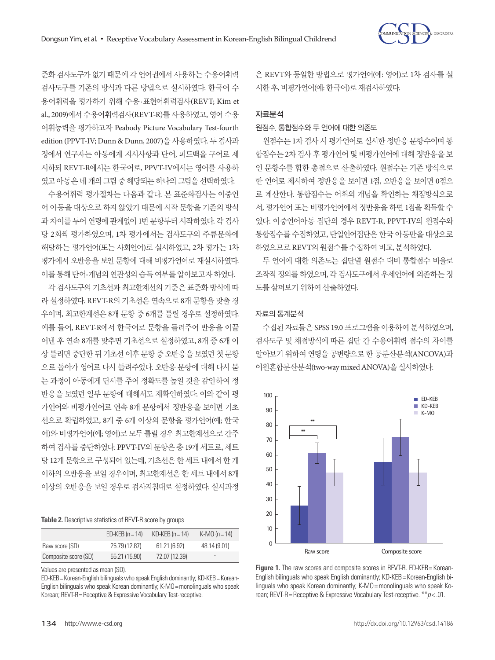

준화 검사도구가 없기 때문에 각 언어권에서 사용하는 수용어휘력 검사도구를 기존의 방식과 다른 방법으로 실시하였다. 한국어 수 용어휘력을 평가하기 위해 수용·표현어휘력검사(REVT; Kim et al., 2009)에서 수용어휘력검사(REVT-R)를 사용하였고, 영어 수용 어휘능력을 평가하고자 Peabody Picture Vocabulary Test-fourth edition (PPVT-IV; Dunn & Dunn, 2007)을 사용하였다. 두 검사과 정에서 연구자는 아동에게 지시사항과 단어, 피드백을 구어로 제 시하되 REVT-R에서는 한국어로, PPVT-IV에서는 영어를 사용하 였고 아동은 네 개의 그림 중 해당되는 하나의 그림을 선택하였다.

수용어휘력 평가절차는 다음과 같다. 본 표준화검사는 이중언 어 아동을 대상으로 하지 않았기 때문에 시작 문항을 기존의 방식 과 차이를 두어 연령에 관계없이 1번 문항부터 시작하였다. 각 검사 당 2회씩 평가하였으며, 1차 평가에서는 검사도구의 주류문화에 해당하는 평가언어(또는 사회언어)로 실시하였고, 2차 평가는 1차 평가에서 오반응을 보인 문항에 대해 비평가언어로 재실시하였다. 이를 통해 단어-개념의 연관성의 습득 여부를 알아보고자 하였다.

각 검사도구의 기초선과 최고한계선의 기준은 표준화 방식에 따 라 설정하였다. REVT-R의 기초선은 연속으로 8개 문항을 맞출 경 우이며, 최고한계선은 8개 문항 중 6개를 틀릴 경우로 설정하였다. 예를 들어, REVT-R에서 한국어로 문항을 들려주어 반응을 이끌 어낸 후 연속 8개를 맞추면 기초선으로 설정하였고, 8개 중 6개 이 상 틀리면 중단한 뒤 기초선 이후 문항 중 오반응을 보였던 첫 문항 으로 돌아가 영어로 다시 들려주었다. 오반응 문항에 대해 다시 묻 는 과정이 아동에게 단서를 주어 정확도를 높일 것을 감안하여 정 반응을 보였던 일부 문항에 대해서도 재확인하였다. 이와 같이 평 가언어와 비평가언어로 연속 8개 문항에서 정반응을 보이면 기초 선으로 확립하였고, 8개 중 6개 이상의 문항을 평가언어(예; 한국 어)와 비평가언어(예; 영어)로 모두 틀릴 경우 최고한계선으로 간주 하여 검사를 중단하였다. PPVT-IV의 문항은 총 19개 세트로, 세트 당 12개 문항으로 구성되어 있는데, 기초선은 한 세트 내에서 한 개 이하의 오반응을 보일 경우이며, 최고한계선은 한 세트 내에서 8개 이상의 오반응을 보일 경우로 검사지침대로 설정하였다. 실시과정

**Table 2.** Descriptive statistics of REVT-R score by groups

|                      | $ED$ -KEB $(n = 14)$ | $KD$ -KEB (n = 14) | K-MO $(n = 14)$ |
|----------------------|----------------------|--------------------|-----------------|
| Raw score (SD)       | 25.79 (12.87)        | 61.21(6.92)        | 48.14 (9.01)    |
| Composite score (SD) | 55.21 (15.90)        | 72.07 (12.39)      | -               |

Values are presented as mean (SD).

ED-KEB= Korean-English bilinguals who speak English dominantly; KD-KEB= Korean-English bilinguals who speak Korean dominantly; K-MO= monolinguals who speak Korean; REVT-R= Receptive & Expressive Vocabulary Test-receptive.

은 REVT와 동일한 방법으로 평가언어(예: 영어)로 1차 검사를 실 시한후, 비평가언어(예: 한국어)로재검사하였다.

## 자료분석

#### 원점수, 통합점수와 두 언어에 대한 의존도

원점수는 1차 검사 시 평가언어로 실시한 정반응 문항수이며 통 합점수는 2차 검사 후 평가언어 및 비평가언어에 대해 정반응을 보 인 문항수를 합한 총점으로 산출하였다. 원점수는 기존 방식으로 한 언어로 제시하여 정반응을 보이면 1점, 오반응을 보이면 0점으 로 계산한다. 통합점수는 어휘의 개념을 확인하는 채점방식으로 서, 평가언어 또는 비평가언어에서 정반응을 하면 1점을 획득할 수 있다. 이중언어아동 집단의 경우 REVT-R, PPVT-IV의 원점수와 통합점수를 수집하였고, 단일언어집단은 한국 아동만을 대상으로 하였으므로 REVT의원점수를수집하여비교, 분석하였다.

두 언어에 대한 의존도는 집단별 원점수 대비 통합점수 비율로 조작적 정의를 하였으며, 각 검사도구에서 우세언어에 의존하는 정 도를살펴보기위하여산출하였다.

#### 자료의 통계분석

수집된 자료들은 SPSS 19.0 프로그램을 이용하여 분석하였으며, 검사도구 및 채점방식에 따른 집단 간 수용어휘력 점수의 차이를 알아보기 위하여 연령을 공변량으로 한 공분산분석(ANCOVA)과 이원혼합분산분석(two-way mixed ANOVA)을실시하였다.



**Figure 1.** The raw scores and composite scores in REVT-R. ED-KEB = Korean-English bilinguals who speak English dominantly; KD-KEB= Korean-English bilinguals who speak Korean dominantly; K-MO= monolinguals who speak Korean; REVT-R= Receptive & Expressive Vocabulary Test-receptive. \*\**p* < .01.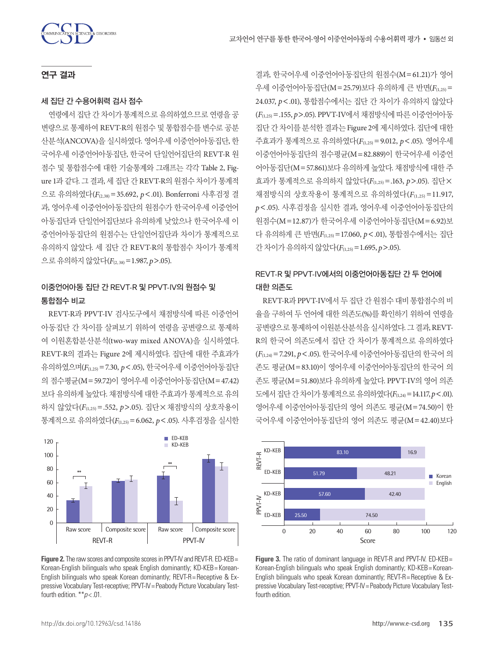## 연구 결과

#### 세 집단 간 수용어휘력 검사 점수

연령에서 집단 간 차이가 통계적으로 유의하였으므로 연령을 공 변량으로 통제하여 REVT-R의 원점수 및 통합점수를 변수로 공분 산분석(ANCOVA)을 실시하였다. 영어우세 이중언어아동집단, 한 국어우세 이중언어아동집단, 한국어 단일언어집단의 REVT-R 원 점수 및 통합점수에 대한 기술통계와 그래프는 각각 Table 2, Figure 1과 같다. 그 결과, 세 집단 간 REVT-R의 원점수 차이가 통계적 으로 유의하였다(*F*(2,38)=35.692, *p*<.01). Bonferroni 사후검정 결 과, 영어우세 이중언어아동집단의 원점수가 한국어우세 이중언어 아동집단과 단일언어집단보다 유의하게 낮았으나 한국어우세 이 중언어아동집단의 원점수는 단일언어집단과 차이가 통계적으로 유의하지 않았다. 세 집단 간 REVT-R의 통합점수 차이가 통계적 으로 유의하지 않았다( $F_{(2,38)}=1.987, p>0.05$ ).

# 이중언어아동 집단 간 REVT**-**R 및 PPVT**-**IV의 원점수 및 통합점수 비교

REVT-R과 PPVT-IV 검사도구에서 채점방식에 따른 이중언어 아동집단 간 차이를 살펴보기 위하여 연령을 공변량으로 통제하 여 이원혼합분산분석(two-way mixed ANOVA)을 실시하였다. REVT-R의 결과는 Figure 2에 제시하였다. 집단에 대한 주효과가 유의하였으며(*F*(1,25)=7.30, *p*<.05), 한국어우세 이중언어아동집단 의 점수평균(M=59.72)이 영어우세 이중언어아동집단(M=47.42) 보다 유의하게 높았다. 채점방식에 대한 주효과가 통계적으로 유의 하지 않았다(*F*(1,25) =.552, *p*>.05). 집단×채점방식의 상호작용이 통계적으로 유의하였다(*F*(1,25)=6.062, *p*<.05). 사후검정을 실시한



**Figure 2.** The raw scores and composite scores in PPVT-IV and REVT-R. ED-KEB = Korean-English bilinguals who speak English dominantly; KD-KEB= Korean-English bilinguals who speak Korean dominantly; REVT-R= Receptive & Expressive Vocabulary Test-receptive; PPVT-IV= Peabody Picture Vocabulary Testfourth edition. \*\**p* < .01.

결과, 한국어우세 이중언어아동집단의 원점수(M=61.21)가 영어 우세 이중언어아동집단(M=25.79)보다 유의하게 큰 반면(*F*(1,25)= 24.037, *p*<.01), 통합점수에서는 집단 간 차이가 유의하지 않았다 (*F*(1,25)=.155, *p*>.05). PPVT-IV에서 채점방식에 따른 이중언어아동 집단 간 차이를 분석한 결과는 Figure 2에 제시하였다. 집단에 대한 주효과가 통계적으로 유의하였다(*F*(1,25)=9.012, *p*<.05). 영어우세 이중언어아동집단의 점수평균(M=82.889)이 한국어우세 이중언 어아동집단(M=57.861)보다 유의하게 높았다. 채점방식에 대한 주 효과가 통계적으로 유의하지 않았다(*F*(1,25)=.163, *p*>.05). 집단× 채점방식의 상호작용이 통계적으로 유의하였다(*F*(1,25) =11.917, *p*<.05). 사후검정을 실시한 결과, 영어우세 이중언어아동집단의 원점수(M=12.87)가 한국어우세 이중언어아동집단(M=6.92)보 다 유의하게 큰 반면( $F_{(1,25)} = 17.060$ ,  $p < .01$ ), 통합점수에서는 집단 간차이가유의하지않았다(*F*(1,25)=1.695, *p*>.05).

# REVT**-**R 및 PPVT**-**IV에서의 이중언어아동집단 간 두 언어에 대한 의존도

REVT-R과 PPVT-IV에서 두 집단 간 원점수 대비 통합점수의 비 율을 구하여 두 언어에 대한 의존도(%)를 확인하기 위하여 연령을 공변량으로통제하여이원분산분석을실시하였다. 그결과, REVT-R의 한국어 의존도에서 집단 간 차이가 통계적으로 유의하였다 (*F*(1,24)=7.291, *p*<.05). 한국어우세 이중언어아동집단의 한국어 의 존도 평균(M=83.10)이 영어우세 이중언어아동집단의 한국어 의 존도 평균(M=51.80)보다 유의하게 높았다. PPVT-IV의 영어 의존 도에서집단간차이가통계적으로유의하였다(*F*(1,24)=14.117, *p*<.01). 영어우세 이중언어아동집단의 영어 의존도 평균(M=74.50)이 한 국어우세 이중언어아동집단의 영어 의존도 평균(M=42.40)보다



**Figure 3.** The ratio of dominant language in REVT-R and PPVT-IV. ED-KEB= Korean-English bilinguals who speak English dominantly; KD-KEB= Korean-English bilinguals who speak Korean dominantly; REVT-R= Receptive & Expressive Vocabulary Test-receptive; PPVT-IV= Peabody Picture Vocabulary Testfourth edition.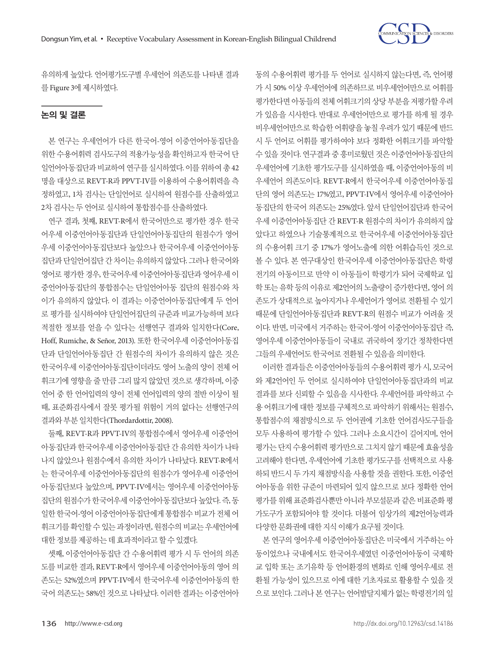

유의하게 높았다. 언어평가도구별 우세언어 의존도를 나타낸 결과 를 Figure 3에제시하였다.

## 논의 및 결론

본 연구는 우세언어가 다른 한국어-영어 이중언어아동집단을 위한 수용어휘력 검사도구의 적용가능성을 확인하고자 한국어 단 일언어아동집단과 비교하여 연구를 실시하였다. 이를 위하여 총 42 명을 대상으로 REVT-R과 PPVT-IV를 이용하여 수용어휘력을 측 정하였고, 1차 검사는 단일언어로 실시하여 원점수를 산출하였고 2차 검사는 두 어어로 실시하여 통합점수를 사출하였다.

연구 결과, 첫째, REVT-R에서 한국어만으로 평가한 경우 한국 어우세 이중언어아동집단과 단일언어아동집단의 원점수가 영어 우세 이중언어아동집단보다 높았으나 한국어우세 이중언어아동 집단과단일언어집단간차이는유의하지않았다. 그러나한국어와 영어로 평가한 경우, 한국어우세 이중언어아동집단과 영어우세 이 중언어아동집단의 통합점수는 단일언어아동 집단의 원점수와 차 이가 유의하지 않았다. 이 결과는 이중언어아동집단에게 두 언어 로 평가를 실시하여야 단일언어집단의 규준과 비교가능하며 보다 적절한 정보를 얻을 수 있다는 선행연구 결과와 일치한다(Core, Hoff, Rumiche, & Señor, 2013). 또한 한국어우세 이중언어아동집 단과 단일언어아동집단 간 원점수의 차이가 유의하지 않은 것은 한국어우세 이중언어아동집단이더라도 영어 노출의 양이 전체 어 휘크기에 영향을 줄 만큼 그리 많지 않았던 것으로 생각하며, 이중 언어 중 한 언어입력의 양이 전체 언어입력의 양의 절반 이상이 될 때, 표준화검사에서 잘못 평가될 위험이 거의 없다는 선행연구의 결과와부분일치한다(Thordardottir, 2008).

둘째, REVT-R과 PPVT-IV의 통합점수에서 영어우세 이중언어 아동집단과 한국어우세 이중언어아동집단 간 유의한 차이가 나타 나지 않았으나 원점수에서 유의한 차이가 나타났다. REVT-R에서 는 한국어우세 이중언어아동집단의 원점수가 영어우세 이중언어 아동집단보다 높았으며, PPVT-IV에서는 영어우세 이중언어아동 집단의 원점수가 한국어우세 이중언어아동집단보다 높았다. 즉, 동 일한 한국어-영어 이중언어아동집단에게 통합점수 비교가 전체 어 휘크기를 확인할 수 있는 과정이라면, 원점수의 비교는 우세언어에 대한정보를제공하는데효과적이라고할수있겠다.

셋째, 이중언어아동집단 간 수용어휘력 평가 시 두 언어의 의존 도를 비교한 결과, REVT-R에서 영어우세 이중언어아동의 영어 의 존도는 52%였으며 PPVT-IV에서 한국어우세 이중언어아동의 한 국어 의존도는 58%인 것으로 나타났다. 이러한 결과는 이중언어아

동의 수용어휘력 평가를 두 언어로 실시하지 않는다면, 즉, 언어평 가 시 50% 이상 우세언어에 의존하므로 비우세언어만으로 어휘를 평가한다면 아동들의 전체 어휘크기의 상당 부분을 저평가할 우려 가 있음을 시사한다. 반대로 우세언어만으로 평가를 하게 될 경우 비우세언어만으로 학습한 어휘량을 놓칠 우려가 있기 때문에 반드 시 두 언어로 어휘를 평가하여야 보다 정확한 어휘크기를 파악할 수 있을 것이다. 연구결과 중 흥미로웠던 것은 이중언어아동집단의 우세언어에 기초한 평가도구를 실시하였을 때, 이중언어아동의 비 우세언어 의존도이다. REVT-R에서 한국어우세 이중언어아동집 단의 영어 의존도는 17%였고, PPVT-IV에서 영어우세 이중언어아 동집단의 한국어 의존도는 25%였다. 앞서 단일언어집단과 한국어 우세 이중언어아동집단 간 REVT-R 원점수의 차이가 유의하지 않 았다고 하였으나 기술통계적으로 한국어우세 이중언어아동집단 의 수용어휘 크기 중 17%가 영어노출에 의한 어휘습득인 것으로 볼 수 있다. 본 연구대상인 한국어우세 이중언어아동집단은 학령 전기의 아동이므로 만약 이 아동들이 학령기가 되어 국제학교 입 학 또는 유학 등의 이유로 제2언어의 노출량이 증가한다면, 영어 의 존도가 상대적으로 높아지거나 우세언어가 영어로 전환될 수 있기 때문에 단일언어아동집단과 REVT-R의 원점수 비교가 어려울 것 이다. 반면, 미국에서 거주하는 한국어-영어 이중언어아동집단 즉, 영어우세 이중언어아동들이 국내로 귀국하여 장기간 정착한다면 그들의 우세언어도 한국어로 전화될 수 있음을 의미한다.

이러한 결과들은 이중언어아동들의 수용어휘력 평가 시, 모국어 와 제2언어인 두 언어로 실시하여야 단일언어아동집단과의 비교 결과를 보다 신뢰할 수 있음을 시사한다. 우세언어를 파악하고 수 용 어휘크기에 대한 정보를 구체적으로 파악하기 위해서는 원점수, 통합점수의 채점방식으로 두 언어권에 기초한 언어검사도구들을 모두 사용하여 평가할 수 있다. 그러나 소요시간이 길어지며, 언어 평가는 단지 수용어휘력 평가만으로 그치지 않기 때문에 효율성을 고려해야 한다면, 우세언어에 기초한 평가도구를 선택적으로 사용 하되 반드시 두 가지 채점방식을 사용할 것을 권한다. 또한, 이중언 어아동을 위한 규준이 마련되어 있지 않으므로 보다 정확한 언어 평가를 위해 표준화검사뿐만 아니라 부모설문과 같은 비표준화 평 가도구가 포함되어야 할 것이다. 더불어 임상가의 제2언어능력과 다양한문화권에대한지식이해가요구될것이다.

본 연구의 영어우세 이중언어아동집단은 미국에서 거주하는 아 동이었으나 국내에서도 한국어우세였던 이중언어아동이 국제학 교 입학 또는 조기유학 등 언어환경의 변화로 인해 영어우세로 전 환될 가능성이 있으므로 이에 대한 기초자료로 활용할 수 있을 것 으로 보인다. 그러나 본 연구는 언어발달지체가 없는 학령전기의 일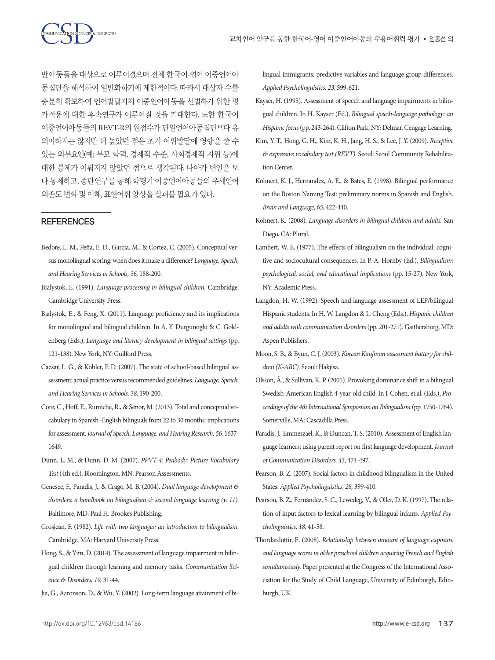반아동들을 대상으로 이루어졌으며 전체 한국어-영어 이중언어아 동집단을 해석하여 일반화하기에 제한적이다. 따라서 대상자 수를 충분히 확보하여 언어발달지체 이중언어아동을 선별하기 위한 평 가적용에 대한 후속연구가 이루어질 것을 기대한다. 또한 한국어 이중언어아동들의 REVT-R의 원점수가 단일언어아동집단보다 유 의미하지는 않지만 더 높았던 점은 초기 어휘발달에 영향을 줄 수 있는 외부요인(예; 부모 학력, 경제적 수준, 사회경제적 지위 등)에 대한 통제가 이뤄지지 않았던 점으로 생각된다. 나아가 변인을 보 다 통제하고, 종단연구를 통해 학령기 이중언어아동들의 우세언어 의존도변화및이해, 표현어휘양상을살펴볼필요가있다.

#### **REFERENCES**

- Bedore, L. M., Peña, E. D., Garcia, M., & Cortez, C. (2005). Conceptual versus monolingual scoring: when does it make a difference? *Language, Speech, and Hearing Services in Schools, 36,* 188-200.
- Bialystok, E. (1991). *Language processing in bilingual children.* Cambridge: Cambridge University Press.
- Bialystok, E., & Feng, X. (2011). Language proficiency and its implications for monolingual and bilingual children. In A. Y. Durgunoglu & C. Goldenberg (Eds.), *Language and literacy development in bilingual settings* (pp. 121-138). New York, NY: Guilford Press.
- Caesar, L. G., & Kohler, P. D. (2007). The state of school-based bilingual assessment: actual practice versus recommended guidelines. *Language, Speech, and Hearing Services in Schools, 38,* 190-200.
- Core, C., Hoff, E., Rumiche, R., & Señor, M. (2013). Total and conceptual vocabulary in Spanish–English bilinguals from 22 to 30 months: implications for assessment. *Journal of Speech, Language, and Hearing Research, 56,* 1637- 1649.
- Dunn, L. M., & Dunn, D. M. (2007). *PPVT-4: Peabody: Picture Vocabulary Test* (4th ed.). Bloomington, MN: Pearson Assessments.
- Genesee, F., Paradis, J., & Crago, M. B. (2004). *Dual language development & disorders: a handbook on bilingualism & second language learning (v. 11).*  Baltimore, MD: Paul H. Brookes Publishing.
- Grosjean, F. (1982). *Life with two languages: an introduction to bilingualism.*  Cambridge, MA: Harvard University Press.
- Hong, S., & Yim, D. (2014). The assessment of language impairment in bilingual children through learning and memory tasks. *Communication Science & Disorders, 19,* 31-44.
- Jia, G., Aaronson, D., & Wu, Y. (2002). Long-term language attainment of bi-

lingual immigrants: predictive variables and language group differences. *Applied Psycholinguistics, 23,* 599-621.

- Kayser, H. (1995). Assessment of speech and language impairments in bilingual children. In H. Kayser (Ed.), *Bilingual speech-language pathology: an Hispanic focus* (pp. 243-264). Clifton Park, NY: Delmar, Cengage Learning.
- Kim, Y. T., Hong, G. H., Kim, K. H., Jang, H. S., & Lee, J. Y. (2009). *Receptive & expressive vocabulary test (REVT).* Seoul: Seoul Community Rehabilitation Center.
- Kohnert, K. J., Hernandez, A. E., & Bates, E. (1998). Bilingual performance on the Boston Naming Test: preliminary norms in Spanish and English. *Brain and Language, 65*, 422-440.
- Kohnert, K. (2008). *Language disorders in bilingual children and adults.* San Diego, CA: Plural.
- Lambert, W. E. (1977). The effects of bilingualism on the individual: cognitive and sociocultural consequences. In P. A. Hornby (Ed.), *Bilingualism: psychological, social, and educational implications* (pp. 15-27). New York, NY: Academic Press.
- Langdon, H. W. (1992). Speech and language assessment of LEP/bilingual Hispanic students. In H. W. Langdon & L. Cheng (Eds.), *Hispanic children and adults with communication disorders* (pp. 201-271). Gaithersburg, MD: Aspen Publishers.
- Moon, S. B., & Byun, C. J. (2003). *Korean Kaufman assessment battery for children (K-ABC).* Seoul: Hakjisa.
- Olsson, Å., & Sullivan, K. P. (2005). Provoking dominance shift in a bilingual Swedish-American English 4-year-old child. In J. Cohen, et al. (Eds.), *Proceedings of the 4th International Symposium on Bilingualism* (pp. 1750-1764). Somerville, MA: Cascadilla Press.
- Paradis, J., Emmerzael, K., & Duncan, T. S. (2010). Assessment of English language learners: using parent report on first language development. *Journal of Communication Disorders, 43,* 474-497.
- Pearson, B. Z. (2007). Social factors in childhood bilingualism in the United States. *Applied Psycholinguistics, 28,* 399-410.
- Pearson, B. Z., Fernández, S. C., Lewedeg, V., & Oller, D. K. (1997). The relation of input factors to lexical learning by bilingual infants. *Applied Psycholinguistics, 18,* 41-58.
- Thordardottir, E. (2008). *Relationship between amount of language exposure and language scores in older preschool children acquiring French and English simultaneously.* Paper presented at the Congress of the International Association for the Study of Child Language, University of Edinburgh, Edinburgh, UK.